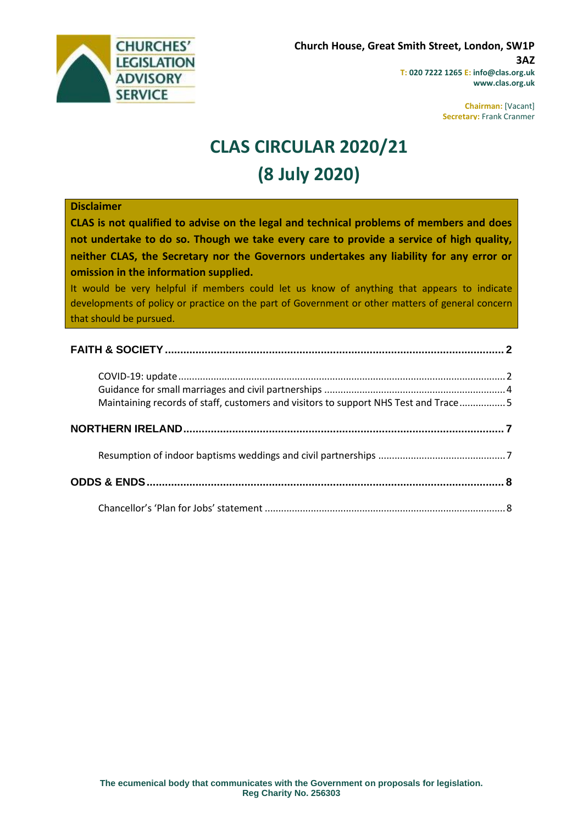

**Chairman:** [Vacant] **Secretary:** Frank Cranmer

# **CLAS CIRCULAR 2020/21 (8 July 2020)**

#### **Disclaimer**

**CLAS is not qualified to advise on the legal and technical problems of members and does not undertake to do so. Though we take every care to provide a service of high quality, neither CLAS, the Secretary nor the Governors undertakes any liability for any error or omission in the information supplied.**

It would be very helpful if members could let us know of anything that appears to indicate developments of policy or practice on the part of Government or other matters of general concern that should be pursued.

| Maintaining records of staff, customers and visitors to support NHS Test and Trace5 |  |
|-------------------------------------------------------------------------------------|--|
|                                                                                     |  |
|                                                                                     |  |
|                                                                                     |  |
|                                                                                     |  |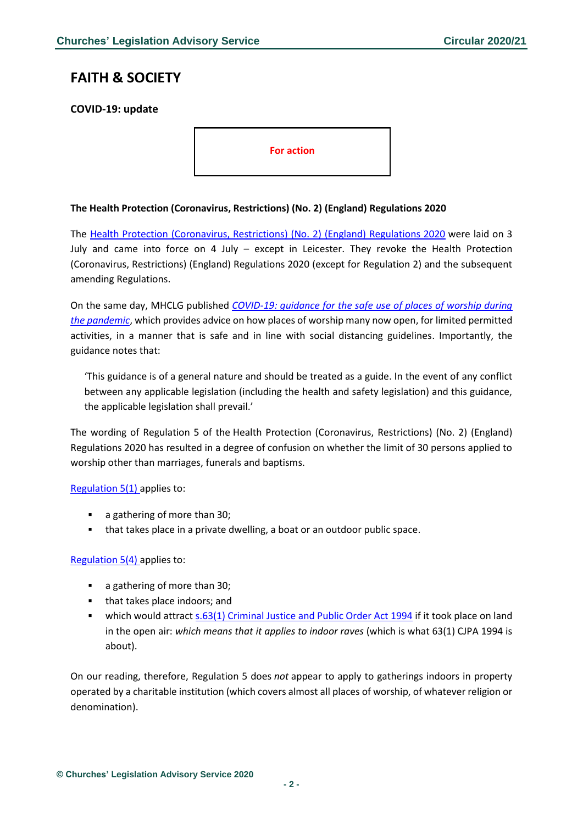## <span id="page-1-0"></span>**FAITH & SOCIETY**

<span id="page-1-1"></span>**COVID-19: update**

**For action**

#### **The Health Protection (Coronavirus, Restrictions) (No. 2) (England) Regulations 2020**

The [Health Protection \(Coronavirus, Restrictions\) \(No. 2\) \(England\) Regulations 2020](http://www.legislation.gov.uk/uksi/2020/684/contents/made) were laid on 3 July and came into force on 4 July – except in Leicester. They revoke the Health Protection (Coronavirus, Restrictions) (England) Regulations 2020 (except for Regulation 2) and the subsequent amending Regulations.

On the same day, MHCLG published *[COVID-19: guidance for the safe use of places of worship during](https://www.gov.uk/government/publications/covid-19-guidance-for-the-safe-use-of-places-of-worship-during-the-pandemic-from-4-july/covid-19-guidance-for-the-safe-use-of-places-of-worship-during-the-pandemic-from-4-july)  [the pandemic](https://www.gov.uk/government/publications/covid-19-guidance-for-the-safe-use-of-places-of-worship-during-the-pandemic-from-4-july/covid-19-guidance-for-the-safe-use-of-places-of-worship-during-the-pandemic-from-4-july)*, which provides advice on how places of worship many now open, for limited permitted activities, in a manner that is safe and in line with social distancing guidelines. Importantly, the guidance notes that:

'This guidance is of a general nature and should be treated as a guide. In the event of any conflict between any applicable legislation (including the health and safety legislation) and this guidance, the applicable legislation shall prevail.'

The wording of Regulation 5 of the Health Protection (Coronavirus, Restrictions) (No. 2) (England) Regulations 2020 has resulted in a degree of confusion on whether the limit of 30 persons applied to worship other than marriages, funerals and baptisms.

[Regulation 5\(1\)](http://www.legislation.gov.uk/uksi/2020/684/regulation/5/made) applies to:

- a gathering of more than 30;
- that takes place in a private dwelling, a boat or an outdoor public space.

[Regulation 5\(4\)](http://www.legislation.gov.uk/uksi/2020/684/regulation/5/made) applies to:

- a gathering of more than 30;
- that takes place indoors; and
- which would attract [s.63\(1\) Criminal Justice and Public Order Act 1994](http://www.legislation.gov.uk/ukpga/1994/33/section/63) if it took place on land in the open air: *which means that it applies to indoor raves* (which is what 63(1) CJPA 1994 is about).

On our reading, therefore, Regulation 5 does *not* appear to apply to gatherings indoors in property operated by a charitable institution (which covers almost all places of worship, of whatever religion or denomination).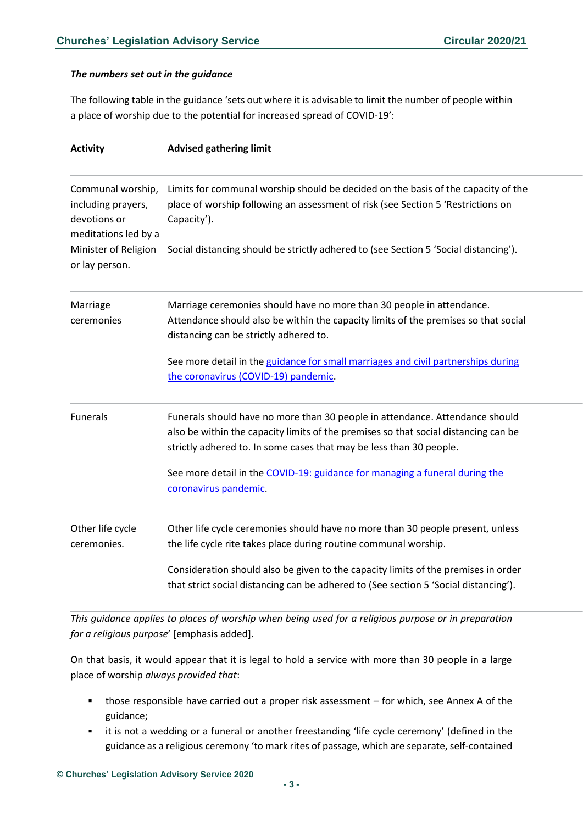#### *The numbers set out in the guidance*

The following table in the guidance 'sets out where it is advisable to limit the number of people within a place of worship due to the potential for increased spread of COVID-19':

| <b>Activity</b>                                                                 | <b>Advised gathering limit</b>                                                                                                                                                                                                             |
|---------------------------------------------------------------------------------|--------------------------------------------------------------------------------------------------------------------------------------------------------------------------------------------------------------------------------------------|
| Communal worship,<br>including prayers,<br>devotions or<br>meditations led by a | Limits for communal worship should be decided on the basis of the capacity of the<br>place of worship following an assessment of risk (see Section 5 'Restrictions on<br>Capacity').                                                       |
| Minister of Religion<br>or lay person.                                          | Social distancing should be strictly adhered to (see Section 5 'Social distancing').                                                                                                                                                       |
| Marriage<br>ceremonies                                                          | Marriage ceremonies should have no more than 30 people in attendance.<br>Attendance should also be within the capacity limits of the premises so that social<br>distancing can be strictly adhered to.                                     |
|                                                                                 | See more detail in the guidance for small marriages and civil partnerships during<br>the coronavirus (COVID-19) pandemic.                                                                                                                  |
| <b>Funerals</b>                                                                 | Funerals should have no more than 30 people in attendance. Attendance should<br>also be within the capacity limits of the premises so that social distancing can be<br>strictly adhered to. In some cases that may be less than 30 people. |
|                                                                                 | See more detail in the COVID-19: guidance for managing a funeral during the<br>coronavirus pandemic.                                                                                                                                       |
| Other life cycle<br>ceremonies.                                                 | Other life cycle ceremonies should have no more than 30 people present, unless<br>the life cycle rite takes place during routine communal worship.                                                                                         |
|                                                                                 | Consideration should also be given to the capacity limits of the premises in order<br>that strict social distancing can be adhered to (See section 5 'Social distancing').                                                                 |

*This guidance applies to places of worship when being used for a religious purpose or in preparation for a religious purpose*' [emphasis added].

On that basis, it would appear that it is legal to hold a service with more than 30 people in a large place of worship *always provided that*:

- those responsible have carried out a proper risk assessment for which, see Annex A of the guidance;
- it is not a wedding or a funeral or another freestanding 'life cycle ceremony' (defined in the guidance as a religious ceremony 'to mark rites of passage, which are separate, self-contained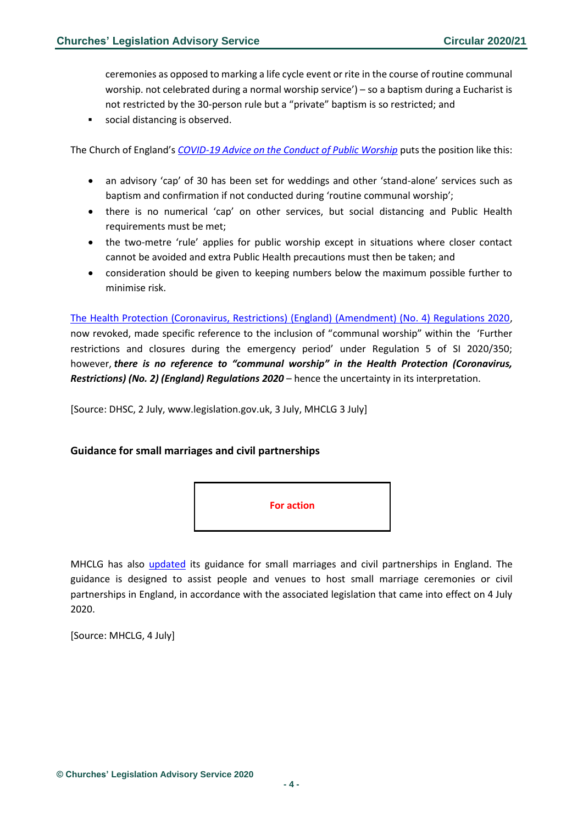ceremonies as opposed to marking a life cycle event or rite in the course of routine communal worship. not celebrated during a normal worship service') – so a baptism during a Eucharist is not restricted by the 30-person rule but a "private" baptism is so restricted; and

social distancing is observed.

The Church of England's *[COVID-19 Advice on the Conduct of Public Worship](https://www.churchofengland.org/sites/default/files/2020-07/COVID%2019%20advice%20on%20conducting%20public%20worship%20v1.2.pdf)* puts the position like this:

- an advisory 'cap' of 30 has been set for weddings and other 'stand-alone' services such as baptism and confirmation if not conducted during 'routine communal worship';
- there is no numerical 'cap' on other services, but social distancing and Public Health requirements must be met;
- the two-metre 'rule' applies for public worship except in situations where closer contact cannot be avoided and extra Public Health precautions must then be taken; and
- consideration should be given to keeping numbers below the maximum possible further to minimise risk.

[The Health Protection \(Coronavirus, Restrictions\) \(England\) \(Amendment\) \(No. 4\) Regulations 2020,](http://www.legislation.gov.uk/uksi/2020/588/contents/made) now revoked, made specific reference to the inclusion of "communal worship" within the 'Further restrictions and closures during the emergency period' under Regulation 5 of SI 2020/350; however, *there is no reference to "communal worship" in the Health Protection (Coronavirus, Restrictions) (No. 2) (England) Regulations 2020* – hence the uncertainty in its interpretation.

[Source: DHSC, 2 July, www.legislation.gov.uk, 3 July, MHCLG 3 July]

#### <span id="page-3-0"></span>**Guidance for small marriages and civil partnerships**



MHCLG has also [updated](https://www.gov.uk/government/publications/covid-19-guidance-for-small-marriages-and-civil-partnerships/covid-19-guidance-for-small-marriages-and-civil-partnerships) its guidance for small marriages and civil partnerships in England. The guidance is designed to assist people and venues to host small marriage ceremonies or civil partnerships in England, in accordance with the associated legislation that came into effect on 4 July 2020.

[Source: MHCLG, 4 July]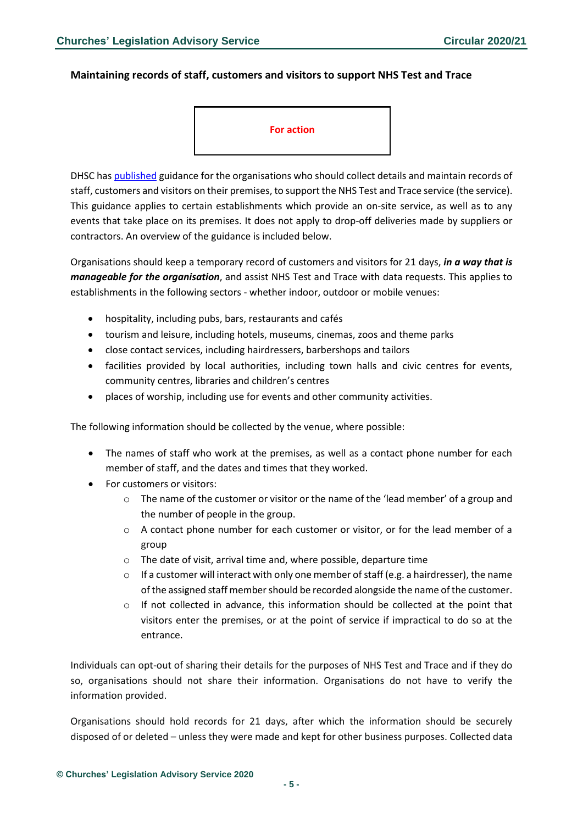#### <span id="page-4-0"></span>**Maintaining records of staff, customers and visitors to support NHS Test and Trace**

#### **For action**

DHSC ha[s published](https://www.gov.uk/guidance/maintaining-records-of-staff-customers-and-visitors-to-support-nhs-test-and-trace) guidance for the organisations who should collect details and maintain records of staff, customers and visitors on their premises, to support the NHS Test and Trace service (the service). This guidance applies to certain establishments which provide an on-site service, as well as to any events that take place on its premises. It does not apply to drop-off deliveries made by suppliers or contractors. An overview of the guidance is included below.

Organisations should keep a temporary record of customers and visitors for 21 days, *in a way that is manageable for the organisation*, and assist NHS Test and Trace with data requests. This applies to establishments in the following sectors - whether indoor, outdoor or mobile venues:

- hospitality, including pubs, bars, restaurants and cafés
- tourism and leisure, including hotels, museums, cinemas, zoos and theme parks
- close contact services, including hairdressers, barbershops and tailors
- facilities provided by local authorities, including town halls and civic centres for events, community centres, libraries and children's centres
- places of worship, including use for events and other community activities.

The following information should be collected by the venue, where possible:

- The names of staff who work at the premises, as well as a contact phone number for each member of staff, and the dates and times that they worked.
- For customers or visitors:
	- $\circ$  The name of the customer or visitor or the name of the 'lead member' of a group and the number of people in the group.
	- $\circ$  A contact phone number for each customer or visitor, or for the lead member of a group
	- o The date of visit, arrival time and, where possible, departure time
	- $\circ$  If a customer will interact with only one member of staff (e.g. a hairdresser), the name of the assigned staff member should be recorded alongside the name of the customer.
	- $\circ$  If not collected in advance, this information should be collected at the point that visitors enter the premises, or at the point of service if impractical to do so at the entrance.

Individuals can opt-out of sharing their details for the purposes of NHS Test and Trace and if they do so, organisations should not share their information. Organisations do not have to verify the information provided.

Organisations should hold records for 21 days, after which the information should be securely disposed of or deleted – unless they were made and kept for other business purposes. Collected data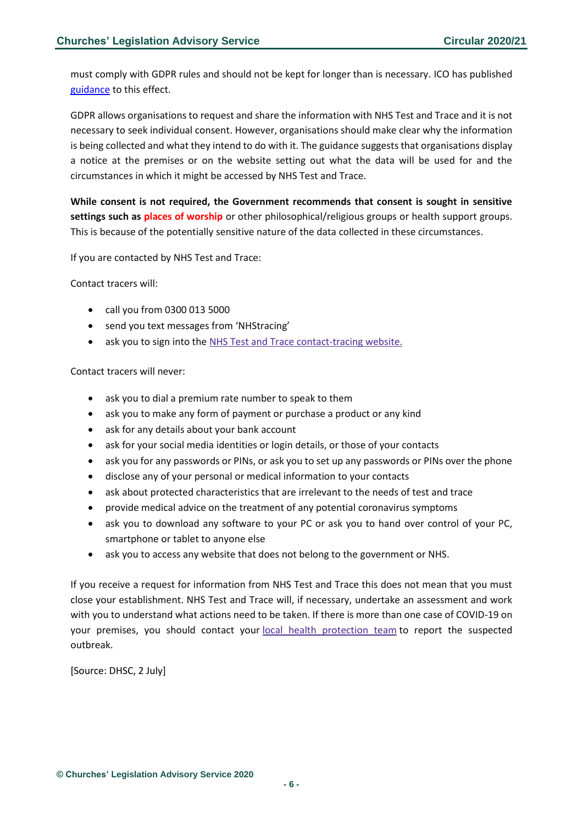must comply with GDPR rules and should not be kept for longer than is necessary. ICO has published [guidance](https://ico.org.uk/global/data-protection-and-coronavirus-information-hub/contact-tracing-protecting-customer-and-visitor-details/) to this effect.

GDPR allows organisations to request and share the information with NHS Test and Trace and it is not necessary to seek individual consent. However, organisations should make clear why the information is being collected and what they intend to do with it. The guidance suggests that organisations display a notice at the premises or on the website setting out what the data will be used for and the circumstances in which it might be accessed by NHS Test and Trace.

**While consent is not required, the Government recommends that consent is sought in sensitive settings such as places of worship** or other philosophical/religious groups or health support groups. This is because of the potentially sensitive nature of the data collected in these circumstances.

If you are contacted by NHS Test and Trace:

Contact tracers will:

- call you from 0300 013 5000
- send you text messages from 'NHStracing'
- ask you to sign into the NHS Test and Trace [contact-tracing](https://contact-tracing.phe.gov.uk/) website.

Contact tracers will never:

- ask you to dial a premium rate number to speak to them
- ask you to make any form of payment or purchase a product or any kind
- ask for any details about your bank account
- ask for your social media identities or login details, or those of your contacts
- ask you for any passwords or PINs, or ask you to set up any passwords or PINs over the phone
- disclose any of your personal or medical information to your contacts
- ask about protected characteristics that are irrelevant to the needs of test and trace
- provide medical advice on the treatment of any potential coronavirus symptoms
- ask you to download any software to your PC or ask you to hand over control of your PC, smartphone or tablet to anyone else
- ask you to access any website that does not belong to the government or NHS.

If you receive a request for information from NHS Test and Trace this does not mean that you must close your establishment. NHS Test and Trace will, if necessary, undertake an assessment and work with you to understand what actions need to be taken. If there is more than one case of COVID-19 on your premises, you should contact your local health [protection](https://www.gov.uk/health-protection-team) team to report the suspected outbreak.

[Source: DHSC, 2 July]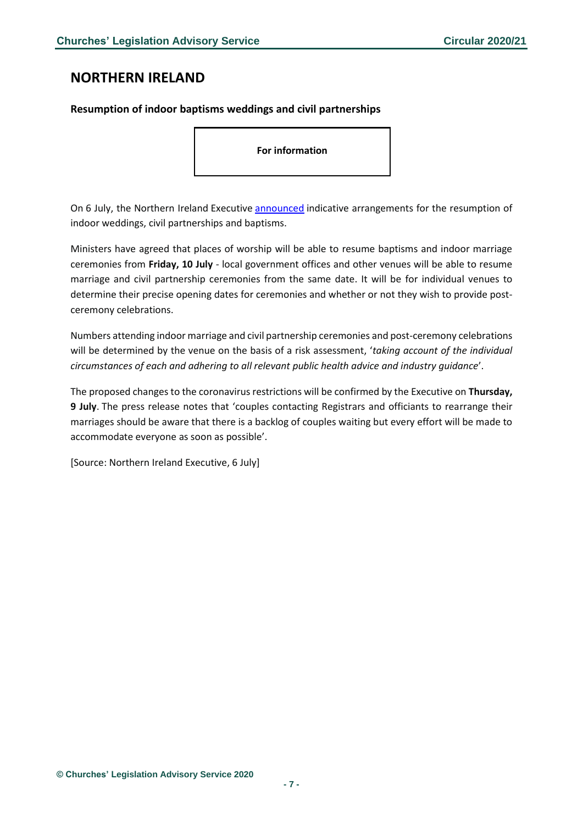## <span id="page-6-0"></span>**NORTHERN IRELAND**

#### <span id="page-6-1"></span>**Resumption of indoor baptisms weddings and civil partnerships**

**For information**

On 6 July, the Northern Ireland Executive [announced](https://www.executiveoffice-ni.gov.uk/news/executive-statement-indoor-weddings-and-baptisms) indicative arrangements for the resumption of indoor weddings, civil partnerships and baptisms.

Ministers have agreed that places of worship will be able to resume baptisms and indoor marriage ceremonies from **Friday, 10 July** - local government offices and other venues will be able to resume marriage and civil partnership ceremonies from the same date. It will be for individual venues to determine their precise opening dates for ceremonies and whether or not they wish to provide postceremony celebrations.

Numbers attending indoor marriage and civil partnership ceremonies and post-ceremony celebrations will be determined by the venue on the basis of a risk assessment, '*taking account of the individual circumstances of each and adhering to all relevant public health advice and industry guidance*'.

The proposed changes to the coronavirus restrictions will be confirmed by the Executive on **Thursday, 9 July**. The press release notes that 'couples contacting Registrars and officiants to rearrange their marriages should be aware that there is a backlog of couples waiting but every effort will be made to accommodate everyone as soon as possible'.

[Source: Northern Ireland Executive, 6 July]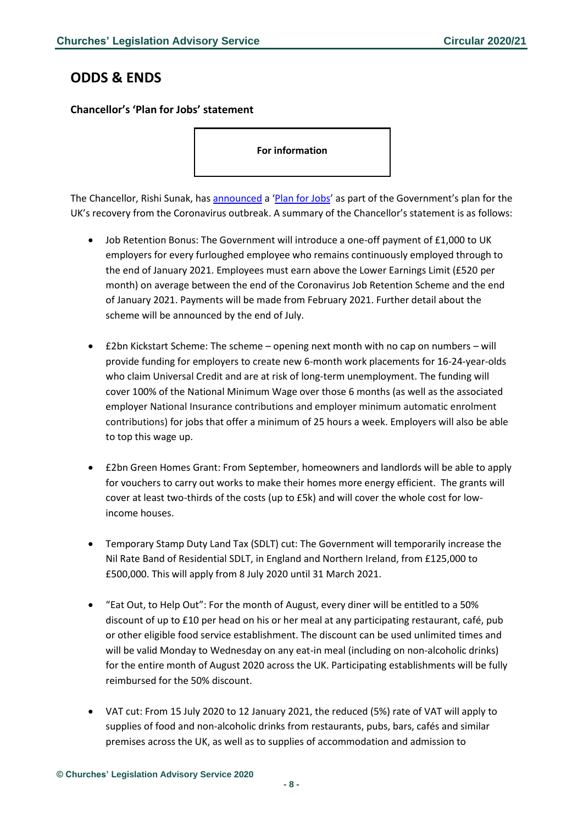## <span id="page-7-0"></span>**ODDS & ENDS**

### <span id="page-7-1"></span>**Chancellor's 'Plan for Jobs' statement**

**For information**

The Chancellor, Rishi Sunak, ha[s announced](https://www.gov.uk/government/news/rishis-plan-for-jobs-will-help-britain-bounce-back) a '[Plan for Jobs](https://www.gov.uk/government/publications/a-plan-for-jobs-documents/a-plan-for-jobs-2020)' as part of the Government's plan for the UK's recovery from the Coronavirus outbreak. A summary of the Chancellor's statement is as follows:

- Job Retention Bonus: The Government will introduce a one-off payment of £1,000 to UK employers for every furloughed employee who remains continuously employed through to the end of January 2021. Employees must earn above the Lower Earnings Limit (£520 per month) on average between the end of the Coronavirus Job Retention Scheme and the end of January 2021. Payments will be made from February 2021. Further detail about the scheme will be announced by the end of July.
- £2bn Kickstart Scheme: The scheme opening next month with no cap on numbers will provide funding for employers to create new 6-month work placements for 16-24-year-olds who claim Universal Credit and are at risk of long-term unemployment. The funding will cover 100% of the National Minimum Wage over those 6 months (as well as the associated employer National Insurance contributions and employer minimum automatic enrolment contributions) for jobs that offer a minimum of 25 hours a week. Employers will also be able to top this wage up.
- £2bn Green Homes Grant: From September, homeowners and landlords will be able to apply for vouchers to carry out works to make their homes more energy efficient. The grants will cover at least two-thirds of the costs (up to £5k) and will cover the whole cost for lowincome houses.
- Temporary Stamp Duty Land Tax (SDLT) cut: The Government will temporarily increase the Nil Rate Band of Residential SDLT, in England and Northern Ireland, from £125,000 to £500,000. This will apply from 8 July 2020 until 31 March 2021.
- "Eat Out, to Help Out": For the month of August, every diner will be entitled to a 50% discount of up to £10 per head on his or her meal at any participating restaurant, café, pub or other eligible food service establishment. The discount can be used unlimited times and will be valid Monday to Wednesday on any eat-in meal (including on non-alcoholic drinks) for the entire month of August 2020 across the UK. Participating establishments will be fully reimbursed for the 50% discount.
- VAT cut: From 15 July 2020 to 12 January 2021, the reduced (5%) rate of VAT will apply to supplies of food and non-alcoholic drinks from restaurants, pubs, bars, cafés and similar premises across the UK, as well as to supplies of accommodation and admission to